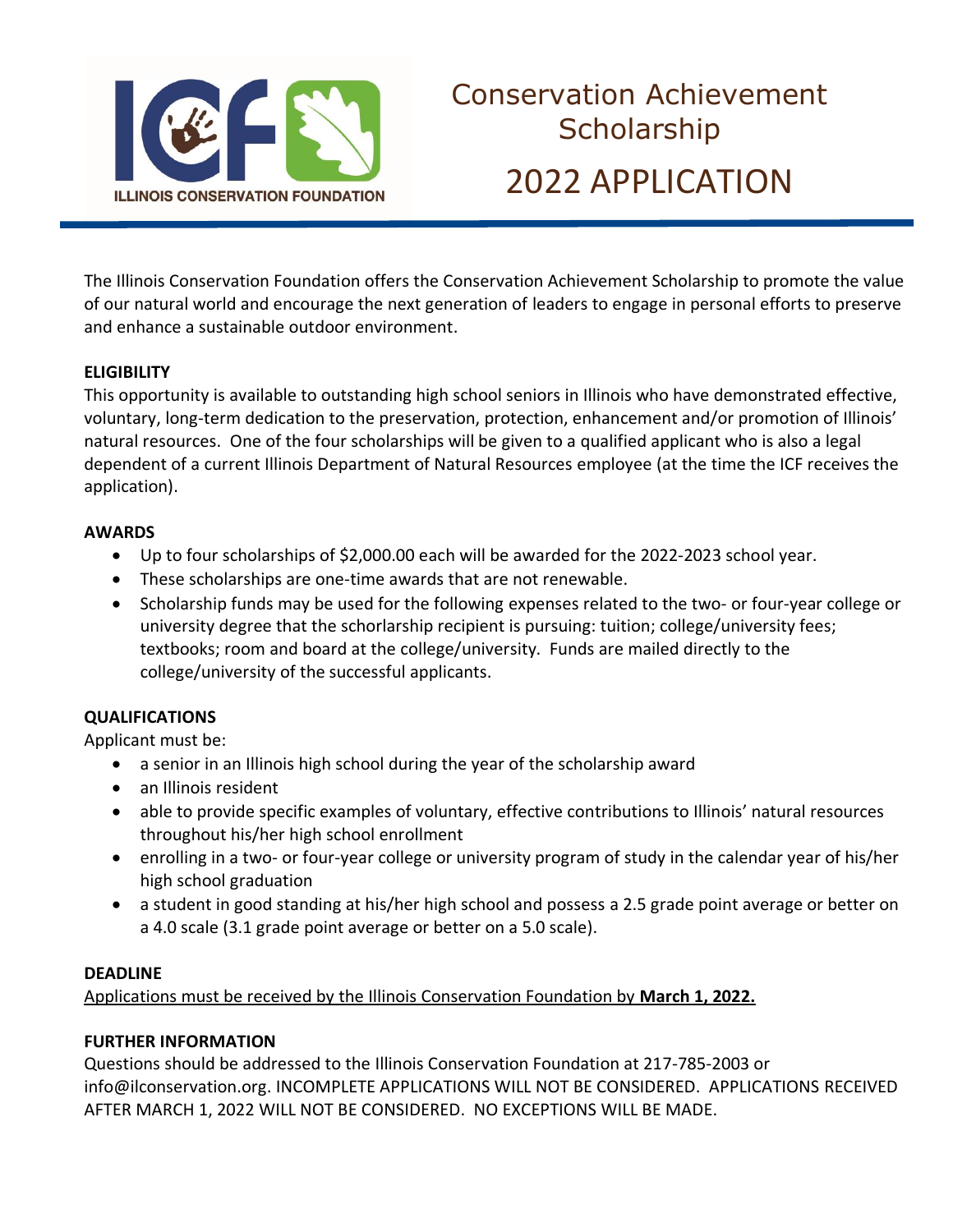

The Illinois Conservation Foundation offers the Conservation Achievement Scholarship to promote the value of our natural world and encourage the next generation of leaders to engage in personal efforts to preserve and enhance a sustainable outdoor environment.

## **ELIGIBILITY**

This opportunity is available to outstanding high school seniors in Illinois who have demonstrated effective, voluntary, long-term dedication to the preservation, protection, enhancement and/or promotion of Illinois' natural resources. One of the four scholarships will be given to a qualified applicant who is also a legal dependent of a current Illinois Department of Natural Resources employee (at the time the ICF receives the application).

## **AWARDS**

- Up to four scholarships of \$2,000.00 each will be awarded for the 2022-2023 school year.
- These scholarships are one-time awards that are not renewable.
- Scholarship funds may be used for the following expenses related to the two- or four-year college or university degree that the schorlarship recipient is pursuing: tuition; college/university fees; textbooks; room and board at the college/university. Funds are mailed directly to the college/university of the successful applicants.

## **QUALIFICATIONS**

Applicant must be:

- a senior in an Illinois high school during the year of the scholarship award
- an Illinois resident
- able to provide specific examples of voluntary, effective contributions to Illinois' natural resources throughout his/her high school enrollment
- enrolling in a two- or four-year college or university program of study in the calendar year of his/her high school graduation
- a student in good standing at his/her high school and possess a 2.5 grade point average or better on a 4.0 scale (3.1 grade point average or better on a 5.0 scale).

## **DEADLINE**

Applications must be received by the Illinois Conservation Foundation by **March 1, 2022.**

## **FURTHER INFORMATION**

Questions should be addressed to the Illinois Conservation Foundation at 217-785-2003 or info@ilconservation.org. INCOMPLETE APPLICATIONS WILL NOT BE CONSIDERED. APPLICATIONS RECEIVED AFTER MARCH 1, 2022 WILL NOT BE CONSIDERED. NO EXCEPTIONS WILL BE MADE.